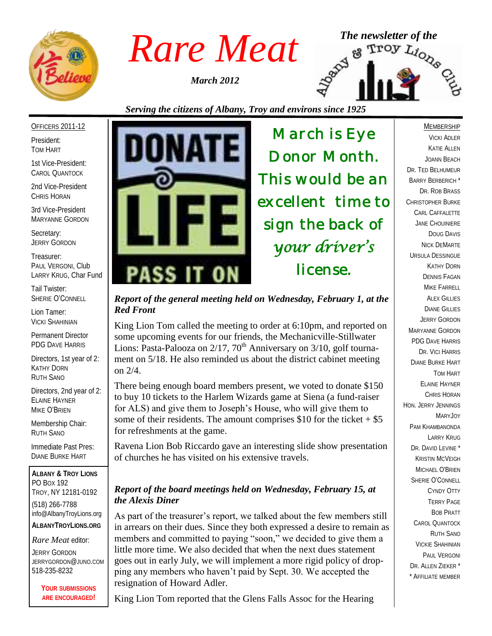

*March 2012*



# *Serving the citizens of Albany, Troy and environs since 1925*

#### OFFICERS 2011-12

President: TOM HART

1st Vice-President: CAROL QUANTOCK

2nd Vice-President CHRIS HORAN

3rd Vice-President MARYANNE GORDON

Secretary: JERRY GORDON

Treasurer: PAUL VERGONI, Club LARRY KRUG, Char Fund

Tail Twister: SHERIE O'CONNELL

Lion Tamer: VICKI SHAHINIAN

Permanent Director PDG DAVE HARRIS

Directors, 1st year of 2: KATHY DORN RUTH SANO

Directors, 2nd year of 2: ELAINE HAYNER MIKE O'BRIEN

Membership Chair: RUTH SANO

Immediate Past Pres: DIANE BURKE HART

**ALBANY & TROY LIONS** PO BOX 192 TROY, NY 12181-0192 (518) 266-7788 info@AlbanyTroyLions.org **ALBANYTROYLIONS.ORG**

#### *Rare Meat* editor:

JERRY GORDON JERRYGORDON@JUNO.COM 518-235-8232

> **YOUR SUBMISSIONS ARE ENCOURAGED!**



*March is Eye Donor Month. This would be an excellent time to sign the back of your driver's license.* 

*Report of the general meeting held on Wednesday, February 1, at the Red Front*

King Lion Tom called the meeting to order at 6:10pm, and reported on some upcoming events for our friends, the Mechanicville-Stillwater Lions: Pasta-Palooza on  $2/17$ ,  $70<sup>th</sup>$  Anniversary on  $3/10$ , golf tournament on 5/18. He also reminded us about the district cabinet meeting on 2/4.

There being enough board members present, we voted to donate \$150 to buy 10 tickets to the Harlem Wizards game at Siena (a fund-raiser for ALS) and give them to Joseph's House, who will give them to some of their residents. The amount comprises  $$10$  for the ticket  $+ $5$ for refreshments at the game.

Ravena Lion Bob Riccardo gave an interesting slide show presentation of churches he has visited on his extensive travels.

#### *Report of the board meetings held on Wednesday, February 15, at the Alexis Diner*

As part of the treasurer's report, we talked about the few members still in arrears on their dues. Since they both expressed a desire to remain as members and committed to paying "soon," we decided to give them a little more time. We also decided that when the next dues statement goes out in early July, we will implement a more rigid policy of dropping any members who haven't paid by Sept. 30. We accepted the resignation of Howard Adler.

King Lion Tom reported that the Glens Falls Assoc for the Hearing

#### MEMBERSHIP

VICKI ADLER KATIE ALLEN JOANN BEACH DR. TED BELHUMEUR BARRY BERBERICH \* DR. ROB BRASS CHRISTOPHER BURKE CARL CAFFALETTE JANE CHOUINIERE DOUG DAVIS NICK DEMARTE URSULA DESSINGUE KATHY DORN DENNIS FAGAN MIKE FARRELL **ALEX GILLIES** DIANE GILLIES JERRY GORDON MARYANNE GORDON PDG DAVE HARRIS DR. VICI HARRIS DIANE BURKE HART TOM HART ELAINE HAYNER CHRIS HORAN HON. JERRY JENNINGS MARYJOY PAM KHAMBANONDA LARRY KRUG DR. DAVID LEVINE<sup>\*</sup> KRISTIN MCVEIGH MICHAEL O'BRIEN SHERIE O'CONNELL CYNDY OTTY TERRY PAGE BOB PRATT CAROL QUANTOCK RUTH SANO VICKIE SHAHINIAN PAUL VERGONI DR. ALLEN ZIEKER \* \* AFFILIATE MEMBER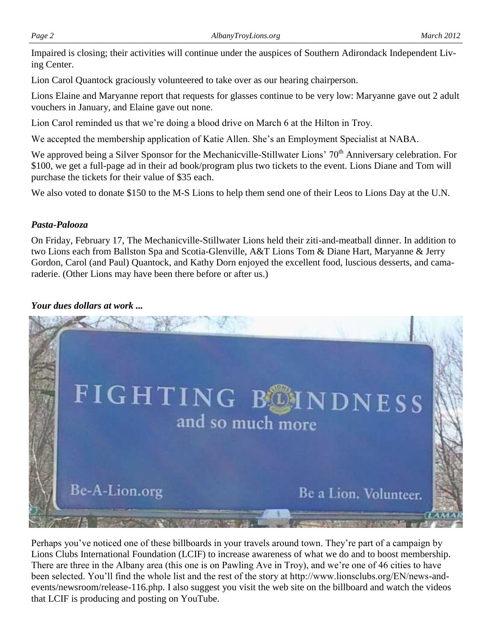Impaired is closing; their activities will continue under the auspices of Southern Adirondack Independent Living Center.

Lion Carol Quantock graciously volunteered to take over as our hearing chairperson.

Lions Elaine and Maryanne report that requests for glasses continue to be very low: Maryanne gave out 2 adult vouchers in January, and Elaine gave out none.

Lion Carol reminded us that we're doing a blood drive on March 6 at the Hilton in Troy.

We accepted the membership application of Katie Allen. She's an Employment Specialist at NABA.

We approved being a Silver Sponsor for the Mechanicville-Stillwater Lions' 70<sup>th</sup> Anniversary celebration. For \$100, we get a full-page ad in their ad book/program plus two tickets to the event. Lions Diane and Tom will purchase the tickets for their value of \$35 each.

We also voted to donate \$150 to the M-S Lions to help them send one of their Leos to Lions Day at the U.N.

## *Pasta-Palooza*

On Friday, February 17, The Mechanicville-Stillwater Lions held their ziti-and-meatball dinner. In addition to two Lions each from Ballston Spa and Scotia-Glenville, A&T Lions Tom & Diane Hart, Maryanne & Jerry Gordon, Carol (and Paul) Quantock, and Kathy Dorn enjoyed the excellent food, luscious desserts, and camaraderie. (Other Lions may have been there before or after us.)

## *Your dues dollars at work ...*



Perhaps you've noticed one of these billboards in your travels around town. They're part of a campaign by Lions Clubs International Foundation (LCIF) to increase awareness of what we do and to boost membership. There are three in the Albany area (this one is on Pawling Ave in Troy), and we're one of 46 cities to have been selected. You'll find the whole list and the rest of the story at http://www.lionsclubs.org/EN/news-andevents/newsroom/release-116.php. I also suggest you visit the web site on the billboard and watch the videos that LCIF is producing and posting on YouTube.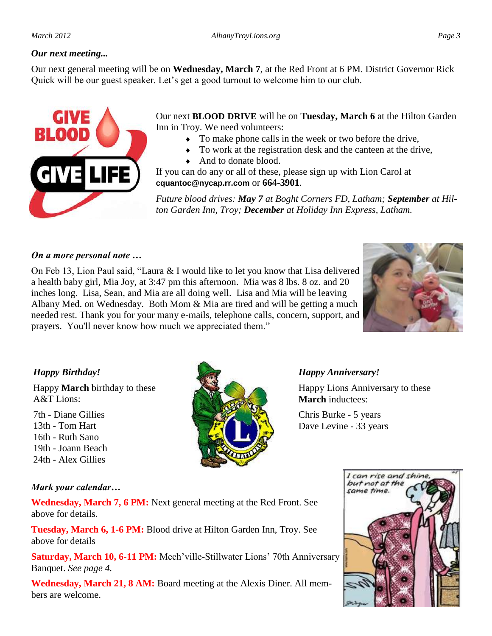### *Our next meeting...*

Our next general meeting will be on **Wednesday, March 7**, at the Red Front at 6 PM. District Governor Rick Quick will be our guest speaker. Let's get a good turnout to welcome him to our club.



Our next **BLOOD DRIVE** will be on **Tuesday, March 6** at the Hilton Garden Inn in Troy. We need volunteers:

- To make phone calls in the week or two before the drive,
- To work at the registration desk and the canteen at the drive,
- And to donate blood.

If you can do any or all of these, please sign up with Lion Carol at **cquantoc@nycap.rr.com** or **664-3901**.

*Future blood drives: May 7 at Boght Corners FD, Latham; September at Hilton Garden Inn, Troy; December at Holiday Inn Express, Latham.*

#### *On a more personal note …*

On Feb 13, Lion Paul said, "Laura & I would like to let you know that Lisa delivered a health baby girl, Mia Joy, at 3:47 pm this afternoon. Mia was 8 lbs. 8 oz. and 20 inches long. Lisa, Sean, and Mia are all doing well. Lisa and Mia will be leaving Albany Med. on Wednesday. Both Mom & Mia are tired and will be getting a much needed rest. Thank you for your many e-mails, telephone calls, concern, support, and prayers. You'll never know how much we appreciated them."



### *Happy Birthday!*

Happy **March** birthday to these A&T Lions:

7th - Diane Gillies 13th - Tom Hart 16th - Ruth Sano 19th - Joann Beach 24th - Alex Gillies



### *Happy Anniversary!*

Happy Lions Anniversary to these **March** inductees:

Chris Burke - 5 years Dave Levine - 33 years

#### *Mark your calendar…*

**Wednesday, March 7, 6 PM:** Next general meeting at the Red Front. See above for details.

**Tuesday, March 6, 1-6 PM:** Blood drive at Hilton Garden Inn, Troy. See above for details

**Saturday, March 10, 6-11 PM:** Mech'ville-Stillwater Lions' 70th Anniversary Banquet. *See page 4.*

**Wednesday, March 21, 8 AM:** Board meeting at the Alexis Diner. All members are welcome.